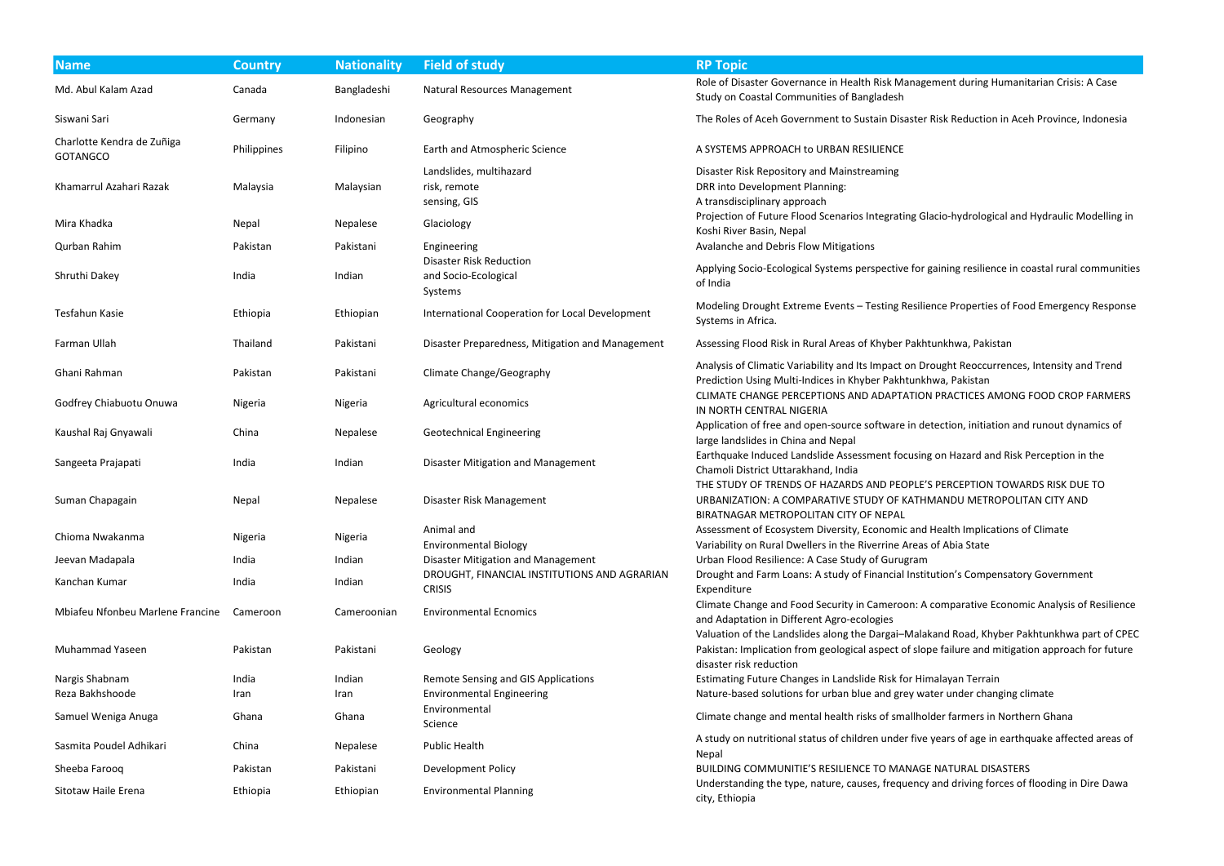| <b>Name</b>                                   | <b>Country</b> | <b>Nationality</b> | <b>Field of study</b>                                             | <b>RP Topic</b>                                                                                                                                                                                                           |
|-----------------------------------------------|----------------|--------------------|-------------------------------------------------------------------|---------------------------------------------------------------------------------------------------------------------------------------------------------------------------------------------------------------------------|
| Md. Abul Kalam Azad                           | Canada         | Bangladeshi        | Natural Resources Management                                      | Role of Disaster Governance in Health Risk Management during Humanitarian Crisis: A Case<br>Study on Coastal Communities of Bangladesh                                                                                    |
| Siswani Sari                                  | Germany        | Indonesian         | Geography                                                         | The Roles of Aceh Government to Sustain Disaster Risk Reduction in Aceh Province, Indonesia                                                                                                                               |
| Charlotte Kendra de Zuñiga<br><b>GOTANGCO</b> | Philippines    | Filipino           | Earth and Atmospheric Science                                     | A SYSTEMS APPROACH to URBAN RESILIENCE                                                                                                                                                                                    |
|                                               |                |                    | Landslides, multihazard                                           | Disaster Risk Repository and Mainstreaming                                                                                                                                                                                |
| Khamarrul Azahari Razak                       | Malaysia       | Malaysian          | risk, remote<br>sensing, GIS                                      | DRR into Development Planning:<br>A transdisciplinary approach                                                                                                                                                            |
| Mira Khadka                                   | Nepal          | Nepalese           | Glaciology                                                        | Projection of Future Flood Scenarios Integrating Glacio-hydrological and Hydraulic Modelling in<br>Koshi River Basin, Nepal                                                                                               |
| Qurban Rahim                                  | Pakistan       | Pakistani          | Engineering                                                       | Avalanche and Debris Flow Mitigations                                                                                                                                                                                     |
| Shruthi Dakey                                 | India          | Indian             | <b>Disaster Risk Reduction</b><br>and Socio-Ecological<br>Systems | Applying Socio-Ecological Systems perspective for gaining resilience in coastal rural communities<br>of India                                                                                                             |
| Tesfahun Kasie                                | Ethiopia       | Ethiopian          | International Cooperation for Local Development                   | Modeling Drought Extreme Events - Testing Resilience Properties of Food Emergency Respons<br>Systems in Africa.                                                                                                           |
| Farman Ullah                                  | Thailand       | Pakistani          | Disaster Preparedness, Mitigation and Management                  | Assessing Flood Risk in Rural Areas of Khyber Pakhtunkhwa, Pakistan                                                                                                                                                       |
| Ghani Rahman                                  | Pakistan       | Pakistani          | Climate Change/Geography                                          | Analysis of Climatic Variability and Its Impact on Drought Reoccurrences, Intensity and Trend<br>Prediction Using Multi-Indices in Khyber Pakhtunkhwa, Pakistan                                                           |
| Godfrey Chiabuotu Onuwa                       | Nigeria        | Nigeria            | Agricultural economics                                            | CLIMATE CHANGE PERCEPTIONS AND ADAPTATION PRACTICES AMONG FOOD CROP FARMERS<br>IN NORTH CENTRAL NIGERIA                                                                                                                   |
| Kaushal Raj Gnyawali                          | China          | Nepalese           | <b>Geotechnical Engineering</b>                                   | Application of free and open-source software in detection, initiation and runout dynamics of<br>large landslides in China and Nepal                                                                                       |
| Sangeeta Prajapati                            | India          | Indian             | Disaster Mitigation and Management                                | Earthquake Induced Landslide Assessment focusing on Hazard and Risk Perception in the<br>Chamoli District Uttarakhand, India                                                                                              |
| Suman Chapagain                               | Nepal          | Nepalese           | Disaster Risk Management                                          | THE STUDY OF TRENDS OF HAZARDS AND PEOPLE'S PERCEPTION TOWARDS RISK DUE TO<br>URBANIZATION: A COMPARATIVE STUDY OF KATHMANDU METROPOLITAN CITY AND<br>BIRATNAGAR METROPOLITAN CITY OF NEPAL                               |
| Chioma Nwakanma                               | Nigeria        | Nigeria            | Animal and<br><b>Environmental Biology</b>                        | Assessment of Ecosystem Diversity, Economic and Health Implications of Climate<br>Variability on Rural Dwellers in the Riverrine Areas of Abia State                                                                      |
| Jeevan Madapala                               | India          | Indian             | Disaster Mitigation and Management                                | Urban Flood Resilience: A Case Study of Gurugram                                                                                                                                                                          |
| Kanchan Kumar                                 | India          | Indian             | DROUGHT, FINANCIAL INSTITUTIONS AND AGRARIAN<br><b>CRISIS</b>     | Drought and Farm Loans: A study of Financial Institution's Compensatory Government<br>Expenditure                                                                                                                         |
| Mbiafeu Nfonbeu Marlene Francine              | Cameroon       | Cameroonian        | <b>Environmental Ecnomics</b>                                     | Climate Change and Food Security in Cameroon: A comparative Economic Analysis of Resilience<br>and Adaptation in Different Agro-ecologies                                                                                 |
| <b>Muhammad Yaseen</b>                        | Pakistan       | Pakistani          | Geology                                                           | Valuation of the Landslides along the Dargai-Malakand Road, Khyber Pakhtunkhwa part of CPE<br>Pakistan: Implication from geological aspect of slope failure and mitigation approach for future<br>disaster risk reduction |
| Nargis Shabnam                                | India          | Indian             | <b>Remote Sensing and GIS Applications</b>                        | Estimating Future Changes in Landslide Risk for Himalayan Terrain                                                                                                                                                         |
| Reza Bakhshoode                               | Iran           | Iran               | <b>Environmental Engineering</b>                                  | Nature-based solutions for urban blue and grey water under changing climate                                                                                                                                               |
| Samuel Weniga Anuga                           | Ghana          | Ghana              | Environmental<br>Science                                          | Climate change and mental health risks of smallholder farmers in Northern Ghana                                                                                                                                           |
| Sasmita Poudel Adhikari                       | China          | Nepalese           | <b>Public Health</b>                                              | A study on nutritional status of children under five years of age in earthquake affected areas of<br>Nepal                                                                                                                |
| Sheeba Farooq                                 | Pakistan       | Pakistani          | <b>Development Policy</b>                                         | BUILDING COMMUNITIE'S RESILIENCE TO MANAGE NATURAL DISASTERS                                                                                                                                                              |
| Sitotaw Haile Erena                           | Ethiopia       | Ethiopian          | <b>Environmental Planning</b>                                     | Understanding the type, nature, causes, frequency and driving forces of flooding in Dire Dawa<br>city, Ethiopia                                                                                                           |